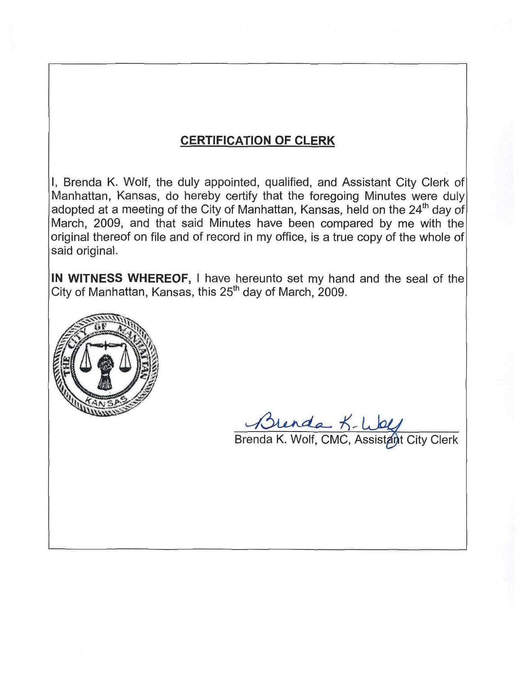## **CERTIFICATION OF CLERK**

I, Brenda K. Wolf, the duly appointed, qualified, and Assistant City Clerk of Manhattan, Kansas, do hereby certify that the foregoing Minutes were duly adopted at a meeting of the City of Manhattan, Kansas, held on the 24<sup>th</sup> day of March, 2009, and that said Minutes have been compared by me with the original thereof on file and of record in my office, is a true copy of the whole of said original.

IN WITNESS WHEREOF, I have hereunto set my hand and the seal of the City of Manhattan, Kansas, this 25<sup>th</sup> day of March, 2009.



Brenda K- Wolf<br>Brenda K. Wolf, CMC, Assistant City Clerk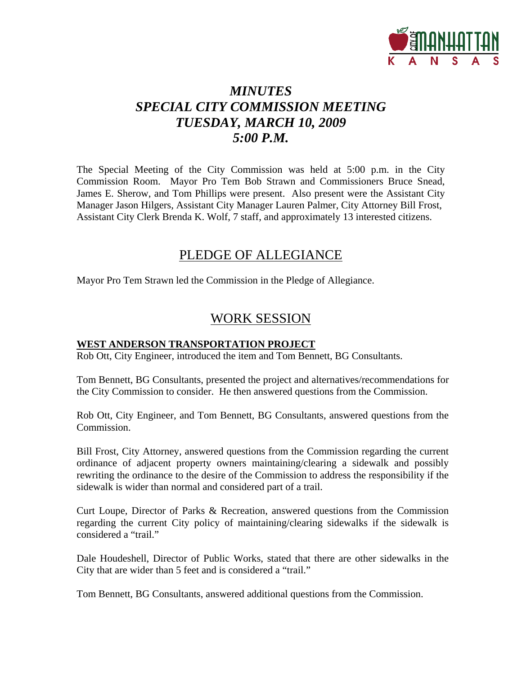

# *MINUTES SPECIAL CITY COMMISSION MEETING TUESDAY, MARCH 10, 2009 5:00 P.M.*

The Special Meeting of the City Commission was held at 5:00 p.m. in the City Commission Room. Mayor Pro Tem Bob Strawn and Commissioners Bruce Snead, James E. Sherow, and Tom Phillips were present. Also present were the Assistant City Manager Jason Hilgers, Assistant City Manager Lauren Palmer, City Attorney Bill Frost, Assistant City Clerk Brenda K. Wolf, 7 staff, and approximately 13 interested citizens.

### PLEDGE OF ALLEGIANCE

Mayor Pro Tem Strawn led the Commission in the Pledge of Allegiance.

### WORK SESSION

#### **WEST ANDERSON TRANSPORTATION PROJECT**

Rob Ott, City Engineer, introduced the item and Tom Bennett, BG Consultants.

Tom Bennett, BG Consultants, presented the project and alternatives/recommendations for the City Commission to consider. He then answered questions from the Commission.

Rob Ott, City Engineer, and Tom Bennett, BG Consultants, answered questions from the Commission.

Bill Frost, City Attorney, answered questions from the Commission regarding the current ordinance of adjacent property owners maintaining/clearing a sidewalk and possibly rewriting the ordinance to the desire of the Commission to address the responsibility if the sidewalk is wider than normal and considered part of a trail.

Curt Loupe, Director of Parks & Recreation, answered questions from the Commission regarding the current City policy of maintaining/clearing sidewalks if the sidewalk is considered a "trail."

Dale Houdeshell, Director of Public Works, stated that there are other sidewalks in the City that are wider than 5 feet and is considered a "trail."

Tom Bennett, BG Consultants, answered additional questions from the Commission.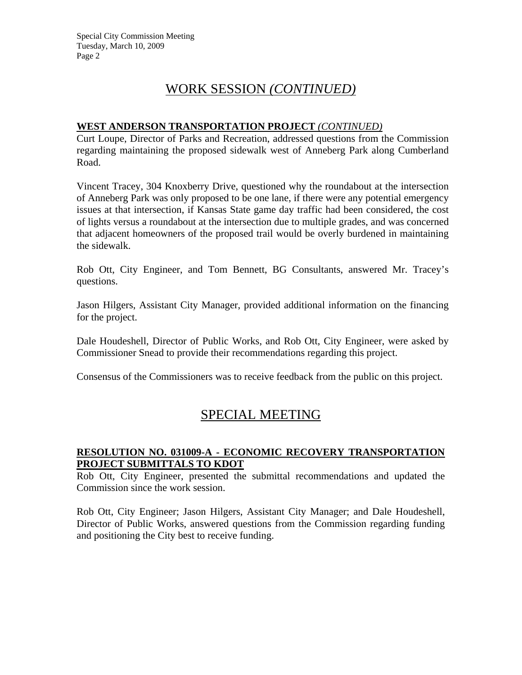## WORK SESSION *(CONTINUED)*

#### **WEST ANDERSON TRANSPORTATION PROJECT** *(CONTINUED)*

Curt Loupe, Director of Parks and Recreation, addressed questions from the Commission regarding maintaining the proposed sidewalk west of Anneberg Park along Cumberland Road.

Vincent Tracey, 304 Knoxberry Drive, questioned why the roundabout at the intersection of Anneberg Park was only proposed to be one lane, if there were any potential emergency issues at that intersection, if Kansas State game day traffic had been considered, the cost of lights versus a roundabout at the intersection due to multiple grades, and was concerned that adjacent homeowners of the proposed trail would be overly burdened in maintaining the sidewalk.

Rob Ott, City Engineer, and Tom Bennett, BG Consultants, answered Mr. Tracey's questions.

Jason Hilgers, Assistant City Manager, provided additional information on the financing for the project.

Dale Houdeshell, Director of Public Works, and Rob Ott, City Engineer, were asked by Commissioner Snead to provide their recommendations regarding this project.

Consensus of the Commissioners was to receive feedback from the public on this project.

## SPECIAL MEETING

#### **RESOLUTION NO. 031009-A - ECONOMIC RECOVERY TRANSPORTATION PROJECT SUBMITTALS TO KDOT**

Rob Ott, City Engineer, presented the submittal recommendations and updated the Commission since the work session.

Rob Ott, City Engineer; Jason Hilgers, Assistant City Manager; and Dale Houdeshell, Director of Public Works, answered questions from the Commission regarding funding and positioning the City best to receive funding.